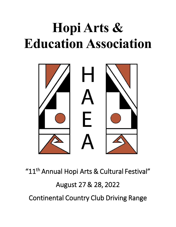

### "11<sup>th</sup> Annual Hopi Arts & Cultural Festival" August 27 & 28, 2022 Continental Country Club Driving Range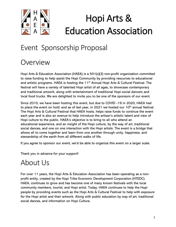

#### Event Sponsorship Proposal

#### Overview

Hopi Arts & Education Association (HAEA) is a 501(c)(3) non-profit organization committed to raise funding to help assist the Hopi Community by providing resources to educational and artistic programs. HAEA is hosting the 11<sup>th</sup> Annual Hopi Arts & Cultural Festival. The festival will have a variety of talented Hopi artist of all ages, to showcase contemporary and traditional artwork, along with entertainment of traditional Hopi social dancers and local food trucks. We are delighted to invite you to be one of the sponsors of our event.

Since 2010, we have been hosting this event, but due to COVID -19 in 2020, HAEA had to place the event on hold, and as of last year, in 2021 we hosted our  $10<sup>th</sup>$  annual festival. The Hopi Arts & Cultural Festival that HAEA hosts, helps raise funds to continue the event each year and is also an avenue to help introduce the artisan's artistic talent and view of Hopi culture to the public. HAEA's objective is to bring to all who attend an educational experience, and an insight of the Hopi culture, by the way of art, traditional social dances, and one on one interaction with the Hopi artists. The event is a bridge that allows all to come together and learn from one another through unity, happiness, and stewardship of the earth from all different walks of life.

If you agree to sponsor our event, we'd be able to organize this event on a larger scale.

Thank you in advance for your support!

#### About Us

For over 11 years, the Hopi Arts & Education Association has been operating as a nonprofit entity, created by the Hopi Tribe Economic Development Corporation (HTEDC). HAEA, continues to grow and has become one of many known festivals with the local community members, tourist, and Hopi artist. Today, HAEA continues to help the Hopi people by providing events such as the Hopi Arts & Cultural Festival to help with exposure for the Hopi artist and their artwork. Along with public education by way of art, traditional social dances, and information on Hopi Culture.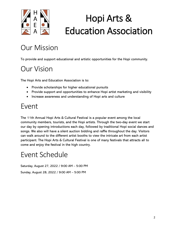

#### Our Mission

To provide and support educational and artistic opportunities for the Hopi community.

#### Our Vision

The Hopi Arts and Education Association is to:

- Provide scholarships for higher educational pursuits
- Provide support and opportunities to enhance Hopi artist marketing and visibility
- Increase awareness and understanding of Hopi arts and culture

#### Event

The 11th Annual Hopi Arts & Cultural Festival is a popular event among the local community members, tourists, and the Hopi artists. Through the two-day event we start our day by opening introductions each day, followed by traditional Hopi social dances and songs. We also will have a silent auction bidding and raffle throughout the day. Visitors can walk around to the different artist booths to view the intricate art from each artist participant. The Hopi Arts & Cultural Festival is one of many festivals that attracts all to come and enjoy the festival in the high country.

#### Event Schedule

Saturday, August 27, 2022 / 9:00 AM – 5:00 PM Sunday, August 28, 2022 / 9:00 AM – 5:00 PM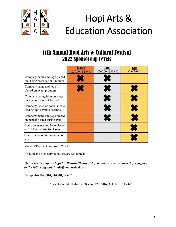

## 11th Annual Hopi Arts & Cultural Festival<br>2022 Sponsorship Levels

|                                                                  | <b>Bronze</b><br>\$250.00 - \$499.00 | <b>Silver</b><br>\$500.00 - \$999.00 | Gold<br>$$1,000.00 +$ |
|------------------------------------------------------------------|--------------------------------------|--------------------------------------|-----------------------|
| Company name and logo placed<br>on HAEA website for 6 months     |                                      |                                      |                       |
| Company name and logo<br>placed on event program                 |                                      | $\overline{\phantom{a}}$             |                       |
| Company recognition on stage<br>during both days of festival     |                                      | O                                    |                       |
| Company listed on social media<br>leading up to event (Facebook) |                                      |                                      |                       |
| Company name and logo placed<br>on banner posted during event    |                                      |                                      |                       |
| Company name and logo placed<br>on HAEA website for 1 year       |                                      |                                      |                       |
| Company recognition on radio<br>ads                              |                                      |                                      |                       |

Mode of Payment preferred: Check

(In-kind and monetary donations are welcomed)

Please send company logo for Website/Banner/Map based on your sponsorship category to the following email: info@hopifestival.com

\*Acceptable files: (PDF, JPG, GIF, or AI)\*

\*Tax Deductible Under IRC Section 170: 501(c)3 of the IRS Code\*